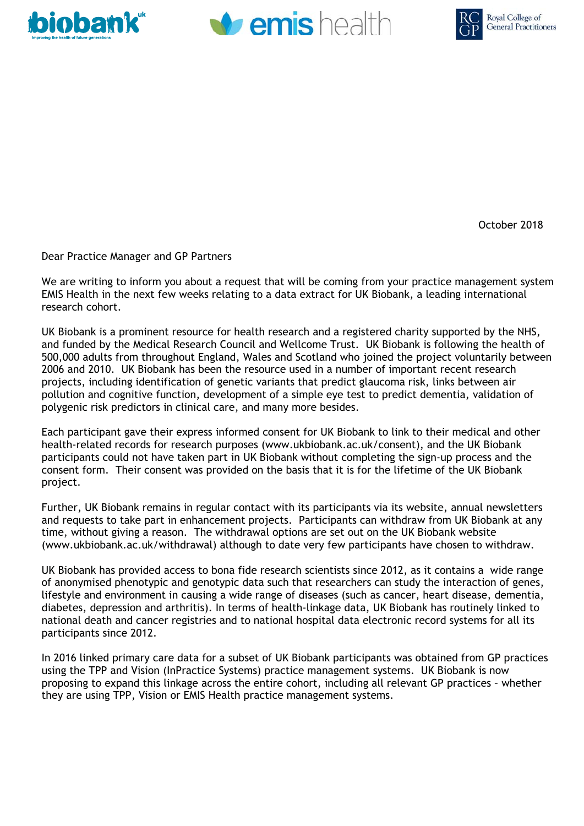





October 2018

Dear Practice Manager and GP Partners

We are writing to inform you about a request that will be coming from your practice management system EMIS Health in the next few weeks relating to a data extract for UK Biobank, a leading international research cohort.

UK Biobank is a prominent resource for health research and a registered charity supported by the NHS, and funded by the Medical Research Council and Wellcome Trust. UK Biobank is following the health of 500,000 adults from throughout England, Wales and Scotland who joined the project voluntarily between 2006 and 2010. UK Biobank has been the resource used in a number of important recent research projects, including identification of genetic variants that predict glaucoma risk, links between air pollution and cognitive function, development of a simple eye test to predict dementia, validation of polygenic risk predictors in clinical care, and many more besides.

Each participant gave their express informed consent for UK Biobank to link to their medical and other health-related records for research purposes (www.ukbiobank.ac.uk/consent), and the UK Biobank participants could not have taken part in UK Biobank without completing the sign-up process and the consent form. Their consent was provided on the basis that it is for the lifetime of the UK Biobank project.

Further, UK Biobank remains in regular contact with its participants via its website, annual newsletters and requests to take part in enhancement projects. Participants can withdraw from UK Biobank at any time, without giving a reason. The withdrawal options are set out on the UK Biobank website (www.ukbiobank.ac.uk/withdrawal) although to date very few participants have chosen to withdraw.

UK Biobank has provided access to bona fide research scientists since 2012, as it contains a wide range of anonymised phenotypic and genotypic data such that researchers can study the interaction of genes, lifestyle and environment in causing a wide range of diseases (such as cancer, heart disease, dementia, diabetes, depression and arthritis). In terms of health-linkage data, UK Biobank has routinely linked to national death and cancer registries and to national hospital data electronic record systems for all its participants since 2012.

In 2016 linked primary care data for a subset of UK Biobank participants was obtained from GP practices using the TPP and Vision (InPractice Systems) practice management systems. UK Biobank is now proposing to expand this linkage across the entire cohort, including all relevant GP practices – whether they are using TPP, Vision or EMIS Health practice management systems.